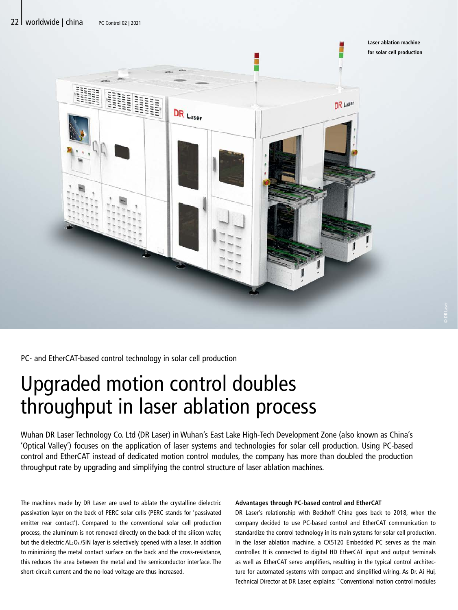

PC- and EtherCAT-based control technology in solar cell production

## Upgraded motion control doubles throughput in laser ablation process

Wuhan DR Laser Technology Co. Ltd (DR Laser) in Wuhan's East Lake High-Tech Development Zone (also known as China's 'Optical Valley') focuses on the application of laser systems and technologies for solar cell production. Using PC-based control and EtherCAT instead of dedicated motion control modules, the company has more than doubled the production throughput rate by upgrading and simplifying the control structure of laser ablation machines.

The machines made by DR Laser are used to ablate the crystalline dielectric passivation layer on the back of PERC solar cells (PERC stands for 'passivated emitter rear contact'). Compared to the conventional solar cell production process, the aluminum is not removed directly on the back of the silicon wafer, but the dielectric  $AL_2O_3/SiN$  layer is selectively opened with a laser. In addition to minimizing the metal contact surface on the back and the cross-resistance, this reduces the area between the metal and the semiconductor interface. The short-circuit current and the no-load voltage are thus increased.

## **Advantages through PC-based control and EtherCAT**

DR Laser's relationship with Beckhoff China goes back to 2018, when the company decided to use PC-based control and EtherCAT communication to standardize the control technology in its main systems for solar cell production. In the laser ablation machine, a CX5120 Embedded PC serves as the main controller. It is connected to digital HD EtherCAT input and output terminals as well as EtherCAT servo amplifiers, resulting in the typical control architecture for automated systems with compact and simplified wiring. As Dr. Ai Hui, Technical Director at DR Laser, explains: "Conventional motion control modules